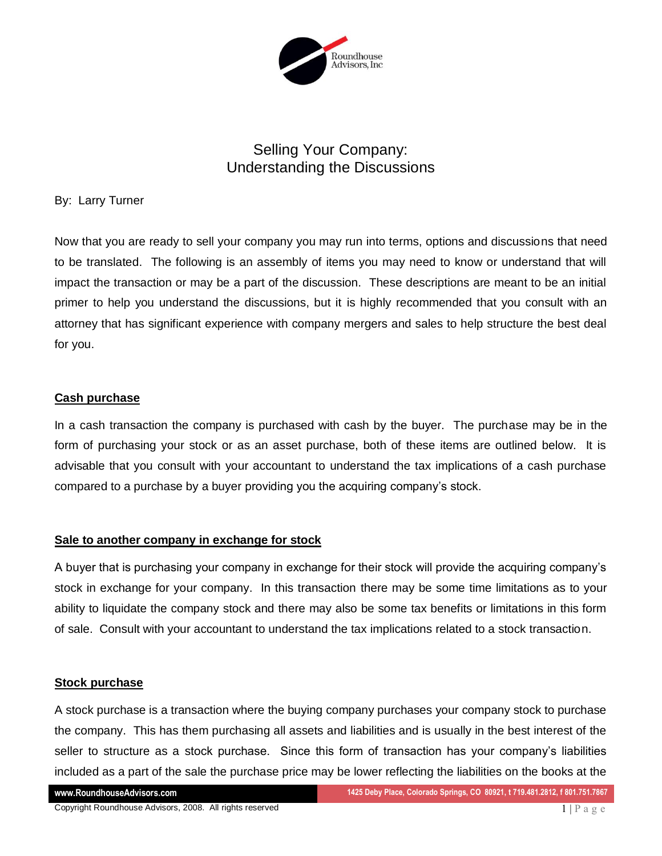

# Selling Your Company: Understanding the Discussions

By: Larry Turner

Now that you are ready to sell your company you may run into terms, options and discussions that need to be translated. The following is an assembly of items you may need to know or understand that will impact the transaction or may be a part of the discussion. These descriptions are meant to be an initial primer to help you understand the discussions, but it is highly recommended that you consult with an attorney that has significant experience with company mergers and sales to help structure the best deal for you.

# **Cash purchase**

In a cash transaction the company is purchased with cash by the buyer. The purchase may be in the form of purchasing your stock or as an asset purchase, both of these items are outlined below. It is advisable that you consult with your accountant to understand the tax implications of a cash purchase compared to a purchase by a buyer providing you the acquiring company's stock.

# **Sale to another company in exchange for stock**

A buyer that is purchasing your company in exchange for their stock will provide the acquiring company's stock in exchange for your company. In this transaction there may be some time limitations as to your ability to liquidate the company stock and there may also be some tax benefits or limitations in this form of sale. Consult with your accountant to understand the tax implications related to a stock transaction.

# **Stock purchase**

A stock purchase is a transaction where the buying company purchases your company stock to purchase the company. This has them purchasing all assets and liabilities and is usually in the best interest of the seller to structure as a stock purchase. Since this form of transaction has your company's liabilities included as a part of the sale the purchase price may be lower reflecting the liabilities on the books at the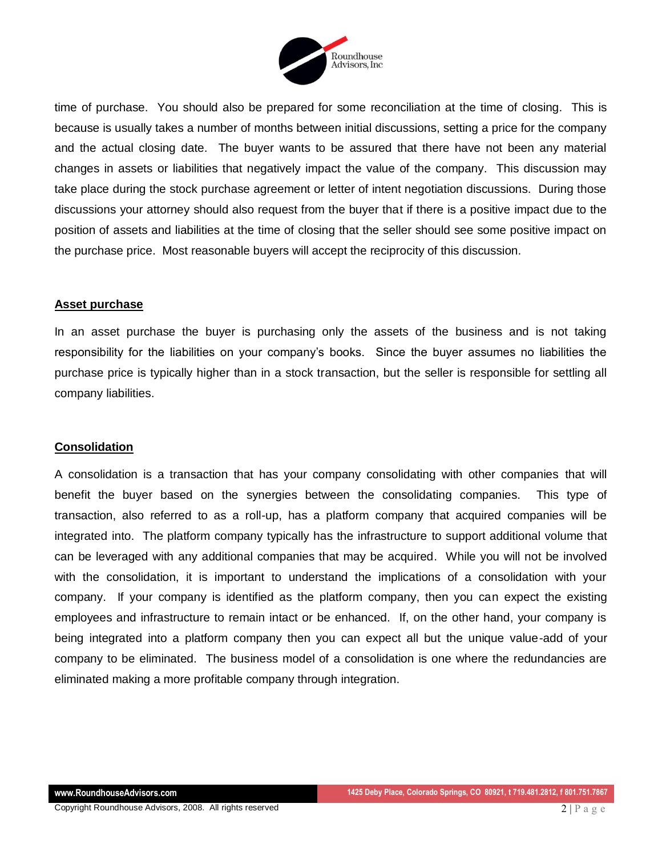

time of purchase. You should also be prepared for some reconciliation at the time of closing. This is because is usually takes a number of months between initial discussions, setting a price for the company and the actual closing date. The buyer wants to be assured that there have not been any material changes in assets or liabilities that negatively impact the value of the company. This discussion may take place during the stock purchase agreement or letter of intent negotiation discussions. During those discussions your attorney should also request from the buyer that if there is a positive impact due to the position of assets and liabilities at the time of closing that the seller should see some positive impact on the purchase price. Most reasonable buyers will accept the reciprocity of this discussion.

### **Asset purchase**

In an asset purchase the buyer is purchasing only the assets of the business and is not taking responsibility for the liabilities on your company's books. Since the buyer assumes no liabilities the purchase price is typically higher than in a stock transaction, but the seller is responsible for settling all company liabilities.

### **Consolidation**

A consolidation is a transaction that has your company consolidating with other companies that will benefit the buyer based on the synergies between the consolidating companies. This type of transaction, also referred to as a roll-up, has a platform company that acquired companies will be integrated into. The platform company typically has the infrastructure to support additional volume that can be leveraged with any additional companies that may be acquired. While you will not be involved with the consolidation, it is important to understand the implications of a consolidation with your company. If your company is identified as the platform company, then you can expect the existing employees and infrastructure to remain intact or be enhanced. If, on the other hand, your company is being integrated into a platform company then you can expect all but the unique value-add of your company to be eliminated. The business model of a consolidation is one where the redundancies are eliminated making a more profitable company through integration.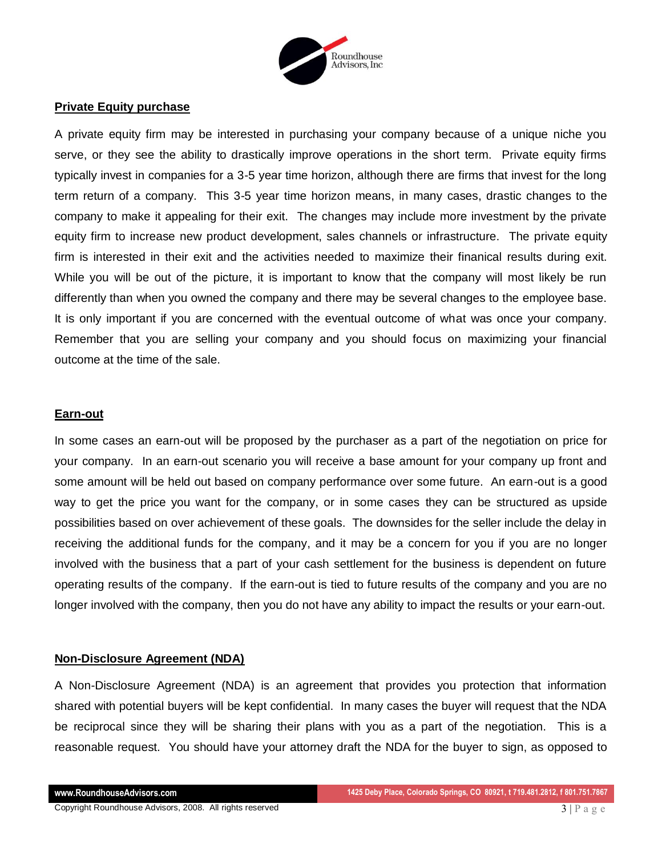

### **Private Equity purchase**

A private equity firm may be interested in purchasing your company because of a unique niche you serve, or they see the ability to drastically improve operations in the short term. Private equity firms typically invest in companies for a 3-5 year time horizon, although there are firms that invest for the long term return of a company. This 3-5 year time horizon means, in many cases, drastic changes to the company to make it appealing for their exit. The changes may include more investment by the private equity firm to increase new product development, sales channels or infrastructure. The private equity firm is interested in their exit and the activities needed to maximize their finanical results during exit. While you will be out of the picture, it is important to know that the company will most likely be run differently than when you owned the company and there may be several changes to the employee base. It is only important if you are concerned with the eventual outcome of what was once your company. Remember that you are selling your company and you should focus on maximizing your financial outcome at the time of the sale.

## **Earn-out**

In some cases an earn-out will be proposed by the purchaser as a part of the negotiation on price for your company. In an earn-out scenario you will receive a base amount for your company up front and some amount will be held out based on company performance over some future. An earn-out is a good way to get the price you want for the company, or in some cases they can be structured as upside possibilities based on over achievement of these goals. The downsides for the seller include the delay in receiving the additional funds for the company, and it may be a concern for you if you are no longer involved with the business that a part of your cash settlement for the business is dependent on future operating results of the company. If the earn-out is tied to future results of the company and you are no longer involved with the company, then you do not have any ability to impact the results or your earn-out.

# **Non-Disclosure Agreement (NDA)**

A Non-Disclosure Agreement (NDA) is an agreement that provides you protection that information shared with potential buyers will be kept confidential. In many cases the buyer will request that the NDA be reciprocal since they will be sharing their plans with you as a part of the negotiation. This is a reasonable request. You should have your attorney draft the NDA for the buyer to sign, as opposed to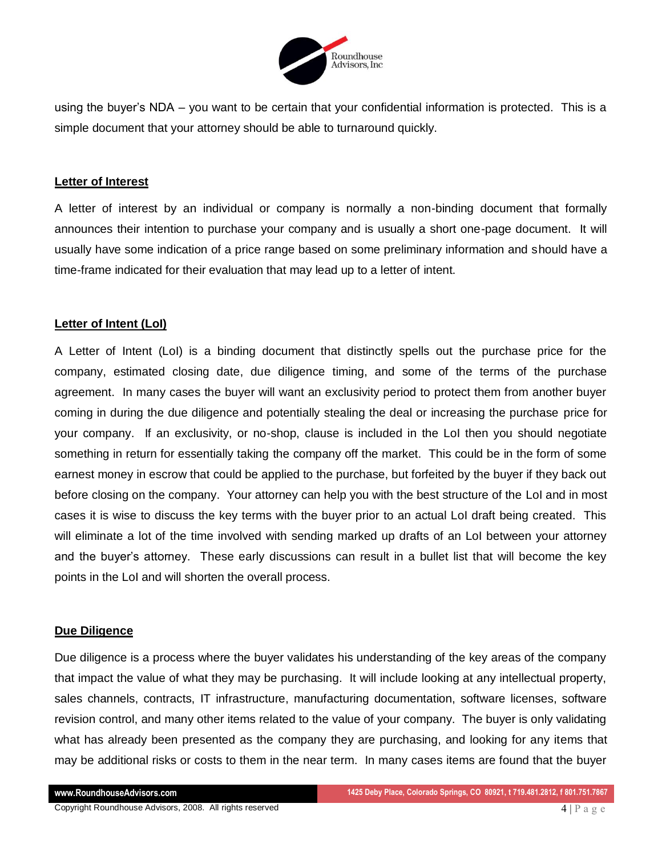

using the buyer's NDA – you want to be certain that your confidential information is protected. This is a simple document that your attorney should be able to turnaround quickly.

## **Letter of Interest**

A letter of interest by an individual or company is normally a non-binding document that formally announces their intention to purchase your company and is usually a short one-page document. It will usually have some indication of a price range based on some preliminary information and should have a time-frame indicated for their evaluation that may lead up to a letter of intent.

# **Letter of Intent (LoI)**

A Letter of Intent (LoI) is a binding document that distinctly spells out the purchase price for the company, estimated closing date, due diligence timing, and some of the terms of the purchase agreement. In many cases the buyer will want an exclusivity period to protect them from another buyer coming in during the due diligence and potentially stealing the deal or increasing the purchase price for your company. If an exclusivity, or no-shop, clause is included in the LoI then you should negotiate something in return for essentially taking the company off the market. This could be in the form of some earnest money in escrow that could be applied to the purchase, but forfeited by the buyer if they back out before closing on the company. Your attorney can help you with the best structure of the LoI and in most cases it is wise to discuss the key terms with the buyer prior to an actual LoI draft being created. This will eliminate a lot of the time involved with sending marked up drafts of an LoI between your attorney and the buyer's attorney. These early discussions can result in a bullet list that will become the key points in the LoI and will shorten the overall process.

### **Due Diligence**

Due diligence is a process where the buyer validates his understanding of the key areas of the company that impact the value of what they may be purchasing. It will include looking at any intellectual property, sales channels, contracts, IT infrastructure, manufacturing documentation, software licenses, software revision control, and many other items related to the value of your company. The buyer is only validating what has already been presented as the company they are purchasing, and looking for any items that may be additional risks or costs to them in the near term. In many cases items are found that the buyer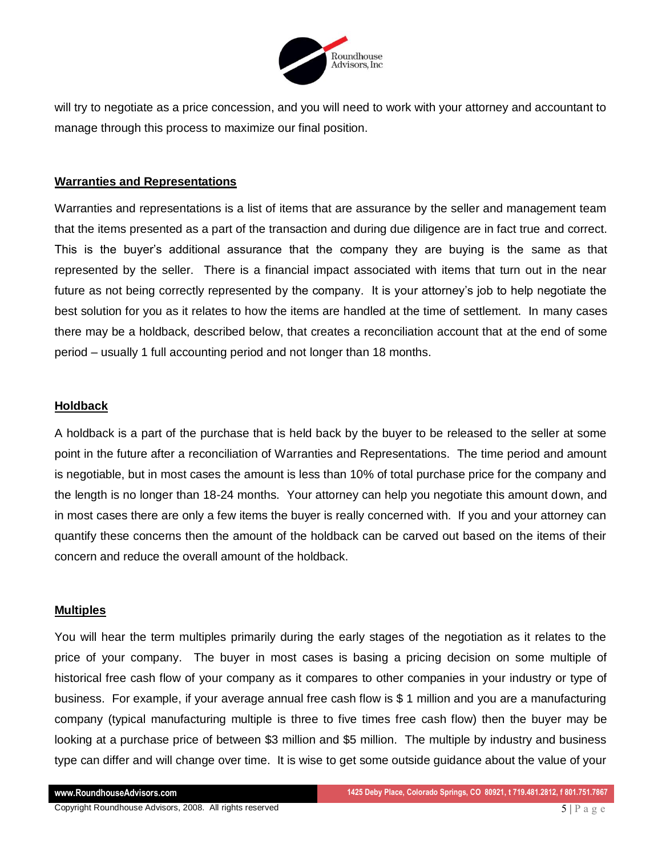

will try to negotiate as a price concession, and you will need to work with your attorney and accountant to manage through this process to maximize our final position.

## **Warranties and Representations**

Warranties and representations is a list of items that are assurance by the seller and management team that the items presented as a part of the transaction and during due diligence are in fact true and correct. This is the buyer's additional assurance that the company they are buying is the same as that represented by the seller. There is a financial impact associated with items that turn out in the near future as not being correctly represented by the company. It is your attorney's job to help negotiate the best solution for you as it relates to how the items are handled at the time of settlement. In many cases there may be a holdback, described below, that creates a reconciliation account that at the end of some period – usually 1 full accounting period and not longer than 18 months.

### **Holdback**

A holdback is a part of the purchase that is held back by the buyer to be released to the seller at some point in the future after a reconciliation of Warranties and Representations. The time period and amount is negotiable, but in most cases the amount is less than 10% of total purchase price for the company and the length is no longer than 18-24 months. Your attorney can help you negotiate this amount down, and in most cases there are only a few items the buyer is really concerned with. If you and your attorney can quantify these concerns then the amount of the holdback can be carved out based on the items of their concern and reduce the overall amount of the holdback.

### **Multiples**

You will hear the term multiples primarily during the early stages of the negotiation as it relates to the price of your company. The buyer in most cases is basing a pricing decision on some multiple of historical free cash flow of your company as it compares to other companies in your industry or type of business. For example, if your average annual free cash flow is \$ 1 million and you are a manufacturing company (typical manufacturing multiple is three to five times free cash flow) then the buyer may be looking at a purchase price of between \$3 million and \$5 million. The multiple by industry and business type can differ and will change over time. It is wise to get some outside guidance about the value of your